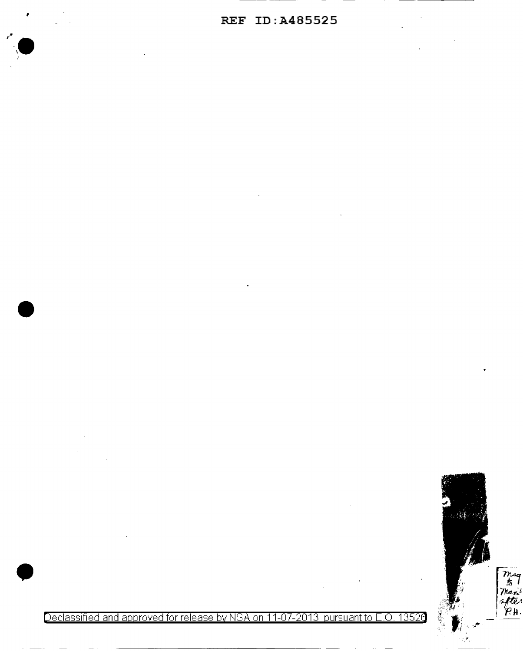

Declassified and approved for release by NSA on 11-07-2013 pursuant to E.O. 13526

Traq<br>to Thanit<br>after